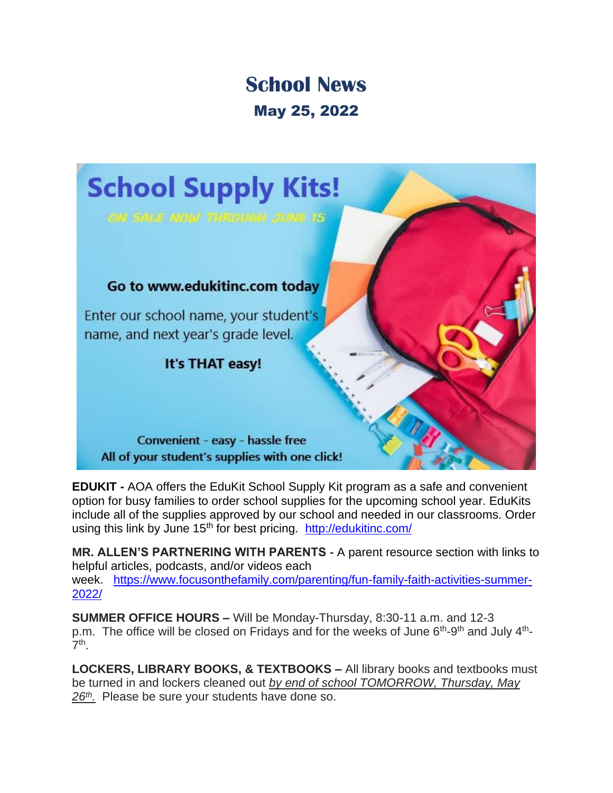## **School News** May 25, 2022



**EDUKIT -** AOA offers the EduKit School Supply Kit program as a safe and convenient option for busy families to order school supplies for the upcoming school year. EduKits include all of the supplies approved by our school and needed in our classrooms. Order using this link by June 15<sup>th</sup> for best pricing. <http://edukitinc.com/>

**MR. ALLEN'S PARTNERING WITH PARENTS -** A parent resource section with links to helpful articles, podcasts, and/or videos each week. [https://www.focusonthefamily.com/parenting/fun-family-faith-activities-summer-](https://www.focusonthefamily.com/parenting/fun-family-faith-activities-summer-2022/)[2022/](https://www.focusonthefamily.com/parenting/fun-family-faith-activities-summer-2022/)

**SUMMER OFFICE HOURS –** Will be Monday-Thursday, 8:30-11 a.m. and 12-3 p.m. The office will be closed on Fridays and for the weeks of June 6<sup>th</sup>-9<sup>th</sup> and July 4<sup>th</sup>-7 th .

**LOCKERS, LIBRARY BOOKS, & TEXTBOOKS –** All library books and textbooks must be turned in and lockers cleaned out *by end of school TOMORROW, Thursday, May 26th .* Please be sure your students have done so.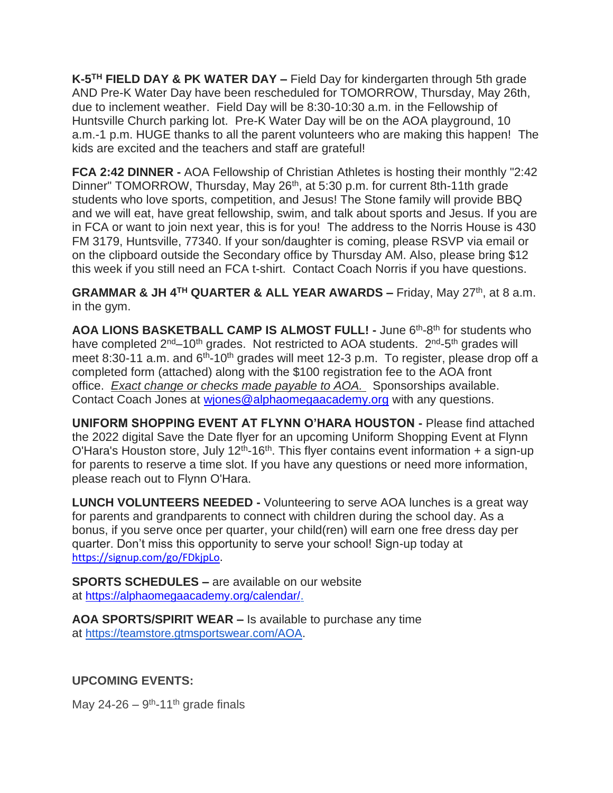**K-5 TH FIELD DAY & PK WATER DAY –** Field Day for kindergarten through 5th grade AND Pre-K Water Day have been rescheduled for TOMORROW, Thursday, May 26th, due to inclement weather. Field Day will be 8:30-10:30 a.m. in the Fellowship of Huntsville Church parking lot. Pre-K Water Day will be on the AOA playground, 10 a.m.-1 p.m. HUGE thanks to all the parent volunteers who are making this happen! The kids are excited and the teachers and staff are grateful!

**FCA 2:42 DINNER -** AOA Fellowship of Christian Athletes is hosting their monthly "2:42 Dinner" TOMORROW, Thursday, May 26<sup>th</sup>, at 5:30 p.m. for current 8th-11th grade students who love sports, competition, and Jesus! The Stone family will provide BBQ and we will eat, have great fellowship, swim, and talk about sports and Jesus. If you are in FCA or want to join next year, this is for you! The address to the Norris House is 430 FM 3179, Huntsville, 77340. If your son/daughter is coming, please RSVP via email or on the clipboard outside the Secondary office by Thursday AM. Also, please bring \$12 this week if you still need an FCA t-shirt. Contact Coach Norris if you have questions.

**GRAMMAR & JH 4TH QUARTER & ALL YEAR AWARDS –** Friday, May 27th, at 8 a.m. in the gym.

AOA LIONS BASKETBALL CAMP IS ALMOST FULL! - June 6<sup>th</sup>-8<sup>th</sup> for students who have completed 2<sup>nd</sup>–10<sup>th</sup> grades. Not restricted to AOA students. 2<sup>nd</sup>-5<sup>th</sup> grades will meet 8:30-11 a.m. and  $6<sup>th</sup>$ -10<sup>th</sup> grades will meet 12-3 p.m. To register, please drop off a completed form (attached) along with the \$100 registration fee to the AOA front office. *Exact change or checks made payable to AOA.* Sponsorships available. Contact Coach Jones at [wjones@alphaomegaacademy.org](mailto:wjones@alphaomegaacademy.org) with any questions.

**UNIFORM SHOPPING EVENT AT FLYNN O'HARA HOUSTON -** Please find attached the 2022 digital Save the Date flyer for an upcoming Uniform Shopping Event at Flynn O'Hara's Houston store, July 12<sup>th</sup>-16<sup>th</sup>. This flyer contains event information + a sign-up for parents to reserve a time slot. If you have any questions or need more information, please reach out to Flynn O'Hara.

**LUNCH VOLUNTEERS NEEDED -** Volunteering to serve AOA lunches is a great way for parents and grandparents to connect with children during the school day. As a bonus, if you serve once per quarter, your child(ren) will earn one free dress day per quarter. Don't miss this opportunity to serve your school! Sign-up today at [https://signup.com/go/FDkjpLo.](https://signup.com/go/FDkjpLo)

**SPORTS SCHEDULES –** are available on our website at [https://alphaomegaacademy.org/calendar/.](https://alphaomegaacademy.org/calendar/)

**AOA SPORTS/SPIRIT WEAR –** Is available to purchase any time at [https://teamstore.gtmsportswear.com/AOA.](https://teamstore.gtmsportswear.com/AOA)

## **UPCOMING EVENTS:**

May 24-26  $-$  9<sup>th</sup>-11<sup>th</sup> grade finals